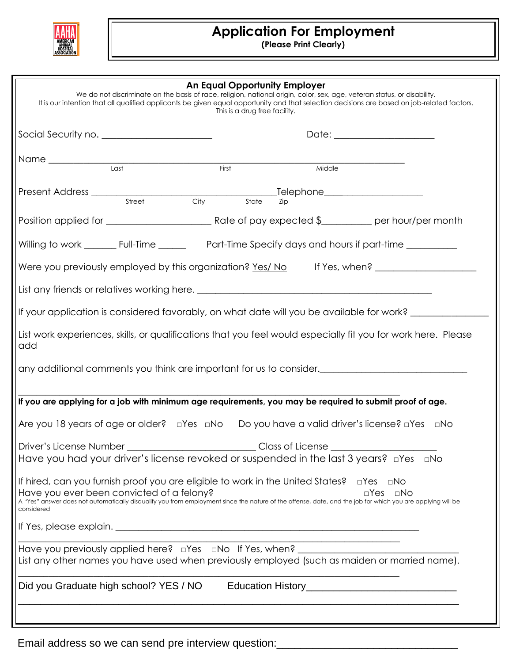

## **Application For Employment**

**(Please Print Clearly)**

|                                                                                                                                           |       | This is a drug free facility. | An Equal Opportunity Employer | We do not discriminate on the basis of race, religion, national origin, color, sex, age, veteran status, or disability.<br>It is our intention that all qualified applicants be given equal opportunity and that selection decisions are based on job-related factors. |  |
|-------------------------------------------------------------------------------------------------------------------------------------------|-------|-------------------------------|-------------------------------|------------------------------------------------------------------------------------------------------------------------------------------------------------------------------------------------------------------------------------------------------------------------|--|
|                                                                                                                                           |       |                               |                               |                                                                                                                                                                                                                                                                        |  |
| Name Last                                                                                                                                 | First |                               | Middle                        |                                                                                                                                                                                                                                                                        |  |
|                                                                                                                                           |       |                               |                               |                                                                                                                                                                                                                                                                        |  |
|                                                                                                                                           |       |                               |                               |                                                                                                                                                                                                                                                                        |  |
|                                                                                                                                           |       |                               |                               |                                                                                                                                                                                                                                                                        |  |
|                                                                                                                                           |       |                               |                               | Were you previously employed by this organization? Yes/ No If Yes, when?                                                                                                                                                                                               |  |
|                                                                                                                                           |       |                               |                               |                                                                                                                                                                                                                                                                        |  |
|                                                                                                                                           |       |                               |                               | If your application is considered favorably, on what date will you be available for work? ________                                                                                                                                                                     |  |
| add                                                                                                                                       |       |                               |                               | List work experiences, skills, or qualifications that you feel would especially fit you for work here. Please                                                                                                                                                          |  |
|                                                                                                                                           |       |                               |                               | any additional comments you think are important for us to consider._________________________________                                                                                                                                                                   |  |
|                                                                                                                                           |       |                               |                               | If you are applying for a job with minimum age requirements, you may be required to submit proof of age.                                                                                                                                                               |  |
|                                                                                                                                           |       |                               |                               | Are you 18 years of age or older? $\Box$ Yes $\Box$ No Do you have a valid driver's license? $\Box$ Yes $\Box$ No                                                                                                                                                      |  |
|                                                                                                                                           |       |                               | Class of License              |                                                                                                                                                                                                                                                                        |  |
|                                                                                                                                           |       |                               |                               | Have you had your driver's license revoked or suspended in the last 3 years? <b>allow</b> also                                                                                                                                                                         |  |
| If hired, can you furnish proof you are eligible to work in the United States?<br>Have you ever been convicted of a felony?<br>considered |       |                               |                               | □Yes □No<br>$\Box$ Yes<br>$\Box$ No<br>A "Yes" answer does not automatically disqualify you from employment since the nature of the offense, date, and the job for which you are applying will be                                                                      |  |
|                                                                                                                                           |       |                               |                               |                                                                                                                                                                                                                                                                        |  |
| Have you previously applied here? $\Box$ Yes $\Box$ No If Yes, when?                                                                      |       |                               |                               | List any other names you have used when previously employed (such as maiden or married name).                                                                                                                                                                          |  |
| Did you Graduate high school? YES / NO                                                                                                    |       |                               |                               | Education History__________________________________                                                                                                                                                                                                                    |  |
|                                                                                                                                           |       |                               |                               |                                                                                                                                                                                                                                                                        |  |

Email address so we can send pre interview question: \_\_\_\_\_\_\_\_\_\_\_\_\_\_\_\_\_\_\_\_\_\_\_\_\_\_\_